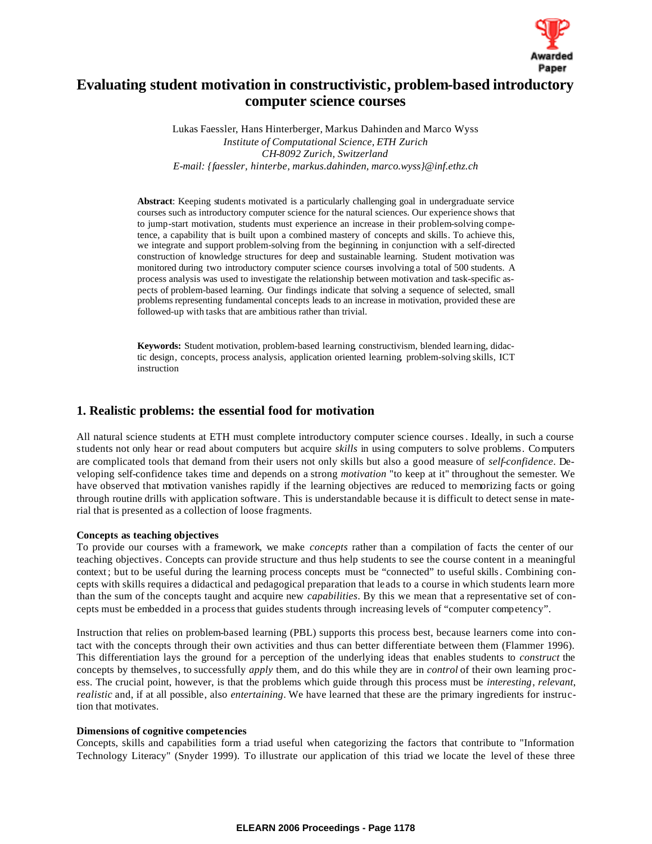

# **Evaluating student motivation in constructivistic, problem-based introductory computer science courses**

Lukas Faessler, Hans Hinterberger, Markus Dahinden and Marco Wyss *Institute of Computational Science, ETH Zurich CH-8092 Zurich, Switzerland E-mail: {faessler, hinterbe, markus.dahinden, marco.wyss}@inf.ethz.ch*

**Abstract**: Keeping students motivated is a particularly challenging goal in undergraduate service courses such as introductory computer science for the natural sciences. Our experience shows that to jump-start motivation, students must experience an increase in their problem-solving competence, a capability that is built upon a combined mastery of concepts and skills. To achieve this, we integrate and support problem-solving from the beginning, in conjunction with a self-directed construction of knowledge structures for deep and sustainable learning. Student motivation was monitored during two introductory computer science courses involving a total of 500 students. A process analysis was used to investigate the relationship between motivation and task-specific aspects of problem-based learning. Our findings indicate that solving a sequence of selected, small problems representing fundamental concepts leads to an increase in motivation, provided these are followed-up with tasks that are ambitious rather than trivial.

**Keywords:** Student motivation, problem-based learning, constructivism, blended learning, didactic design, concepts, process analysis, application oriented learning, problem-solving skills, ICT instruction

# **1. Realistic problems: the essential food for motivation**

All natural science students at ETH must complete introductory computer science courses. Ideally, in such a course students not only hear or read about computers but acquire *skills* in using computers to solve problems. Computers are complicated tools that demand from their users not only skills but also a good measure of *self-confidence*. Developing self-confidence takes time and depends on a strong *motivation* "to keep at it" throughout the semester. We have observed that motivation vanishes rapidly if the learning objectives are reduced to memorizing facts or going through routine drills with application software. This is understandable because it is difficult to detect sense in material that is presented as a collection of loose fragments.

### **Concepts as teaching objectives**

To provide our courses with a framework, we make *concepts* rather than a compilation of facts the center of our teaching objectives. Concepts can provide structure and thus help students to see the course content in a meaningful context ; but to be useful during the learning process concepts must be "connected" to useful skills. Combining concepts with skills requires a didactical and pedagogical preparation that leads to a course in which students learn more than the sum of the concepts taught and acquire new *capabilities*. By this we mean that a representative set of concepts must be embedded in a process that guides students through increasing levels of "computer competency".

Instruction that relies on problem-based learning (PBL) supports this process best, because learners come into contact with the concepts through their own activities and thus can better differentiate between them (Flammer 1996). This differentiation lays the ground for a perception of the underlying ideas that enables students to *construct* the concepts by themselves, to successfully *apply* them, and do this while they are in *control* of their own learning process. The crucial point, however, is that the problems which guide through this process must be *interesting*, *relevant*, *realistic* and, if at all possible, also *entertaining*. We have learned that these are the primary ingredients for instruction that motivates.

#### **Dimensions of cognitive competencies**

Concepts, skills and capabilities form a triad useful when categorizing the factors that contribute to "Information Technology Literacy" (Snyder 1999). To illustrate our application of this triad we locate the level of these three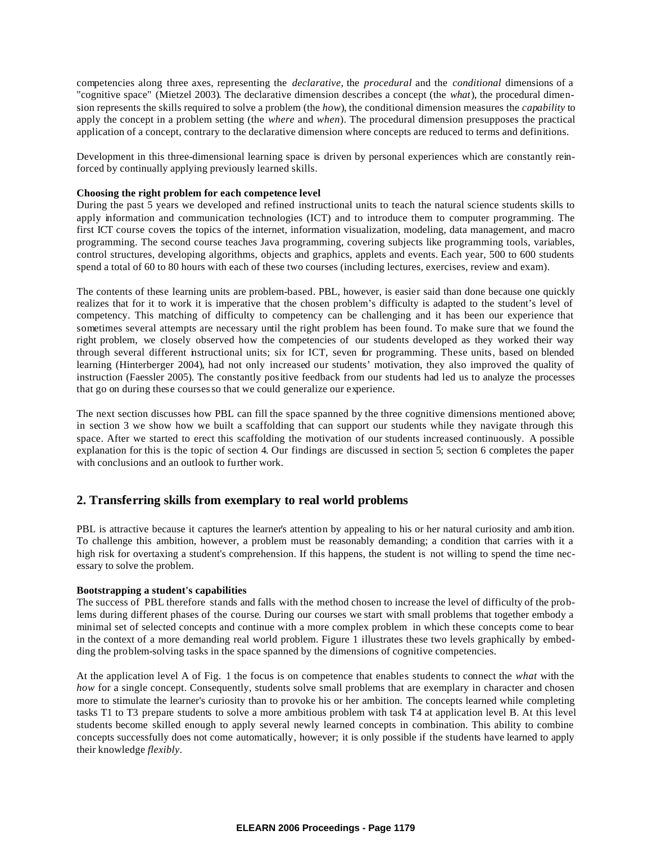competencies along three axes, representing the *declarative*, the *procedural* and the *conditional* dimensions of a "cognitive space" (Mietzel 2003). The declarative dimension describes a concept (the *what*), the procedural dimension represents the skills required to solve a problem (the *how*), the conditional dimension measures the *capability* to apply the concept in a problem setting (the *where* and *when*). The procedural dimension presupposes the practical application of a concept, contrary to the declarative dimension where concepts are reduced to terms and definitions.

Development in this three-dimensional learning space is driven by personal experiences which are constantly reinforced by continually applying previously learned skills.

## **Choosing the right problem for each competence level**

During the past 5 years we developed and refined instructional units to teach the natural science students skills to apply information and communication technologies (ICT) and to introduce them to computer programming. The first ICT course covers the topics of the internet, information visualization, modeling, data management, and macro programming. The second course teaches Java programming, covering subjects like programming tools, variables, control structures, developing algorithms, objects and graphics, applets and events. Each year, 500 to 600 students spend a total of 60 to 80 hours with each of these two courses (including lectures, exercises, review and exam).

The contents of these learning units are problem-based. PBL, however, is easier said than done because one quickly realizes that for it to work it is imperative that the chosen problem's difficulty is adapted to the student's level of competency. This matching of difficulty to competency can be challenging and it has been our experience that sometimes several attempts are necessary until the right problem has been found. To make sure that we found the right problem, we closely observed how the competencies of our students developed as they worked their way through several different instructional units; six for ICT, seven for programming. These units, based on blended learning (Hinterberger 2004), had not only increased our students' motivation, they also improved the quality of instruction (Faessler 2005). The constantly positive feedback from our students had led us to analyze the processes that go on during these courses so that we could generalize our experience.

The next section discusses how PBL can fill the space spanned by the three cognitive dimensions mentioned above; in section 3 we show how we built a scaffolding that can support our students while they navigate through this space. After we started to erect this scaffolding the motivation of our students increased continuously. A possible explanation for this is the topic of section 4. Our findings are discussed in section 5; section 6 completes the paper with conclusions and an outlook to further work.

# **2. Transferring skills from exemplary to real world problems**

PBL is attractive because it captures the learner's attention by appealing to his or her natural curiosity and amb ition. To challenge this ambition, however, a problem must be reasonably demanding; a condition that carries with it a high risk for overtaxing a student's comprehension. If this happens, the student is not willing to spend the time necessary to solve the problem.

#### **Bootstrapping a student's capabilities**

The success of PBL therefore stands and falls with the method chosen to increase the level of difficulty of the problems during different phases of the course. During our courses we start with small problems that together embody a minimal set of selected concepts and continue with a more complex problem in which these concepts come to bear in the context of a more demanding real world problem. Figure 1 illustrates these two levels graphically by embedding the problem-solving tasks in the space spanned by the dimensions of cognitive competencies.

At the application level A of Fig. 1 the focus is on competence that enables students to connect the *what* with the *how* for a single concept. Consequently, students solve small problems that are exemplary in character and chosen more to stimulate the learner's curiosity than to provoke his or her ambition. The concepts learned while completing tasks T1 to T3 prepare students to solve a more ambitious problem with task T4 at application level B. At this level students become skilled enough to apply several newly learned concepts in combination. This ability to combine concepts successfully does not come automatically, however; it is only possible if the students have learned to apply their knowledge *flexibly*.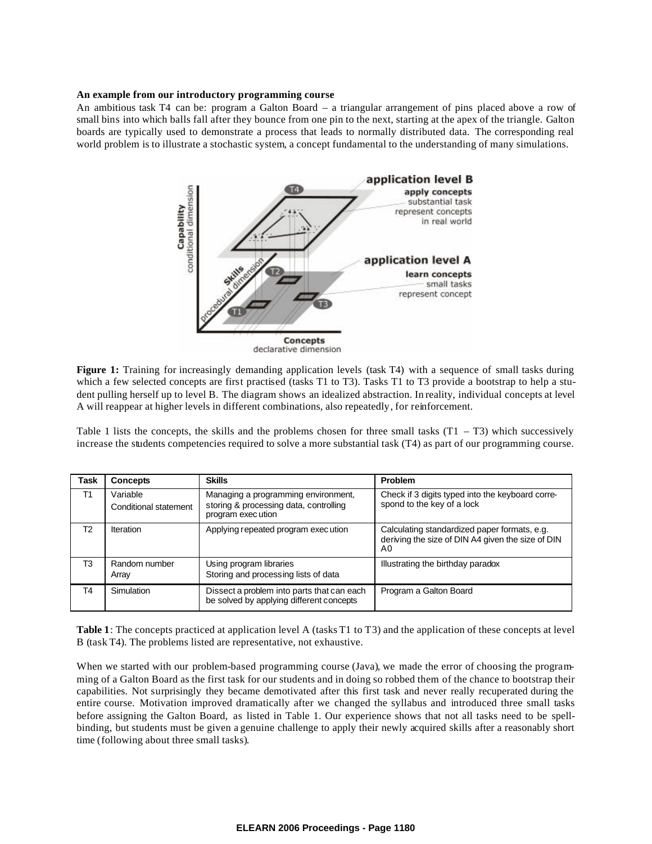#### **An example from our introductory programming course**

An ambitious task T4 can be: program a Galton Board – a triangular arrangement of pins placed above a row of small bins into which balls fall after they bounce from one pin to the next, starting at the apex of the triangle. Galton boards are typically used to demonstrate a process that leads to normally distributed data. The corresponding real world problem is to illustrate a stochastic system, a concept fundamental to the understanding of many simulations.



declarative dimension

**Figure 1:** Training for increasingly demanding application levels (task T4) with a sequence of small tasks during which a few selected concepts are first practised (tasks T1 to T3). Tasks T1 to T3 provide a bootstrap to help a student pulling herself up to level B. The diagram shows an idealized abstraction. In reality, individual concepts at level A will reappear at higher levels in different combinations, also repeatedly, for reinforcement.

Table 1 lists the concepts, the skills and the problems chosen for three small tasks  $(T1 - T3)$  which successively increase the students competencies required to solve a more substantial task (T4) as part of our programming course.

| Task           | <b>Concepts</b>                   | <b>Skills</b>                                                                                       | Problem                                                                                                 |
|----------------|-----------------------------------|-----------------------------------------------------------------------------------------------------|---------------------------------------------------------------------------------------------------------|
| T1             | Variable<br>Conditional statement | Managing a programming environment,<br>storing & processing data, controlling<br>program exec ution | Check if 3 digits typed into the keyboard corre-<br>spond to the key of a lock                          |
| T <sub>2</sub> | Iteration                         | Applying repeated program exec ution                                                                | Calculating standardized paper formats, e.g.<br>deriving the size of DIN A4 given the size of DIN<br>A0 |
| T <sub>3</sub> | Random number<br>Arrav            | Using program libraries<br>Storing and processing lists of data                                     | Illustrating the birthday paradox                                                                       |
| T4             | Simulation                        | Dissect a problem into parts that can each<br>be solved by applying different concepts              | Program a Galton Board                                                                                  |

**Table 1**: The concepts practiced at application level A (tasks T1 to T3) and the application of these concepts at level B (task T4). The problems listed are representative, not exhaustive.

When we started with our problem-based programming course (Java), we made the error of choosing the programming of a Galton Board as the first task for our students and in doing so robbed them of the chance to bootstrap their capabilities. Not surprisingly they became demotivated after this first task and never really recuperated during the entire course. Motivation improved dramatically after we changed the syllabus and introduced three small tasks before assigning the Galton Board, as listed in Table 1. Our experience shows that not all tasks need to be spellbinding, but students must be given a genuine challenge to apply their newly acquired skills after a reasonably short time (following about three small tasks).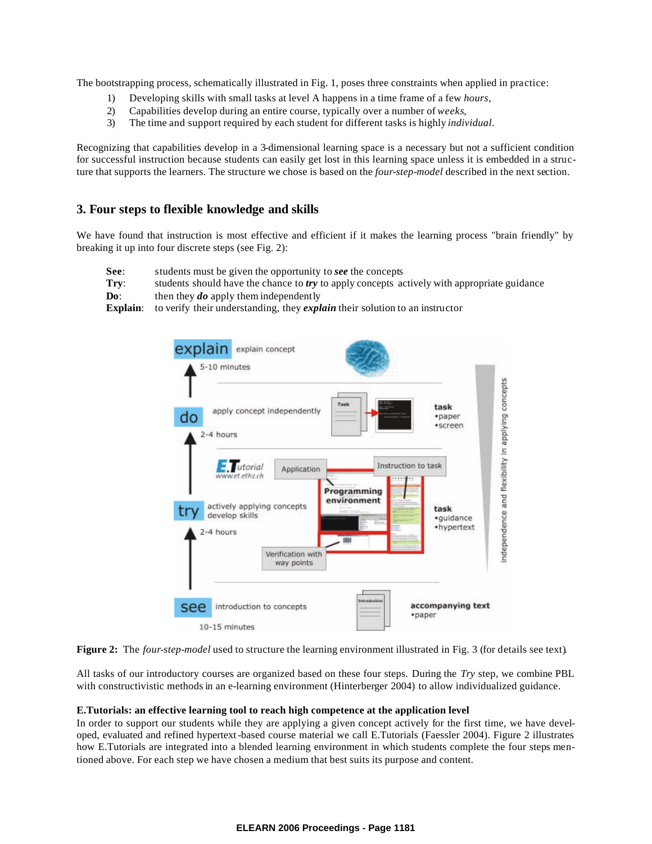The bootstrapping process, schematically illustrated in Fig. 1, poses three constraints when applied in practice:

- 1) Developing skills with small tasks at level A happens in a time frame of a few *hours*,
- 2) Capabilities develop during an entire course, typically over a number of *weeks*,
- 3) The time and support required by each student for different tasks is highly *individual*.

Recognizing that capabilities develop in a 3-dimensional learning space is a necessary but not a sufficient condition for successful instruction because students can easily get lost in this learning space unless it is embedded in a structure that supports the learners. The structure we chose is based on the *four-step-model* described in the next section.

# **3. Four steps to flexible knowledge and skills**

We have found that instruction is most effective and efficient if it makes the learning process "brain friendly" by breaking it up into four discrete steps (see Fig. 2):

- **See**: students must be given the opportunity to *see* the concepts
- **Try:** students should have the chance to *try* to apply concepts actively with appropriate guidance
- **Do**: then they *do* apply them independently

**Explain**: to verify their understanding, they *explain* their solution to an instructor





All tasks of our introductory courses are organized based on these four steps. During the *Try* step, we combine PBL with constructivistic methods in an e-learning environment (Hinterberger 2004) to allow individualized guidance.

### **E.Tutorials: an effective learning tool to reach high competence at the application level**

In order to support our students while they are applying a given concept actively for the first time, we have developed, evaluated and refined hypertext-based course material we call E.Tutorials (Faessler 2004). Figure 2 illustrates how E.Tutorials are integrated into a blended learning environment in which students complete the four steps mentioned above. For each step we have chosen a medium that best suits its purpose and content.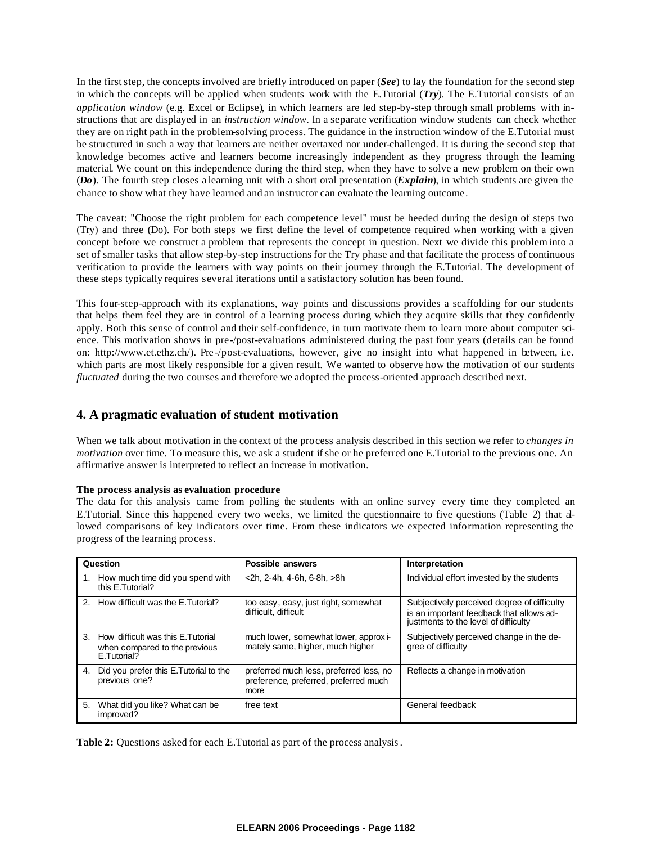In the first step, the concepts involved are briefly introduced on paper (*See*) to lay the foundation for the second step in which the concepts will be applied when students work with the E.Tutorial (*Try*). The E.Tutorial consists of an *application window* (e.g. Excel or Eclipse), in which learners are led step-by-step through small problems with instructions that are displayed in an *instruction window*. In a separate verification window students can check whether they are on right path in the problem-solving process. The guidance in the instruction window of the E.Tutorial must be structured in such a way that learners are neither overtaxed nor under-challenged. It is during the second step that knowledge becomes active and learners become increasingly independent as they progress through the learning material. We count on this independence during the third step, when they have to solve a new problem on their own (*Do*). The fourth step closes a learning unit with a short oral presentation (*Explain*), in which students are given the chance to show what they have learned and an instructor can evaluate the learning outcome.

The caveat: "Choose the right problem for each competence level" must be heeded during the design of steps two (Try) and three (Do). For both steps we first define the level of competence required when working with a given concept before we construct a problem that represents the concept in question. Next we divide this problem into a set of smaller tasks that allow step-by-step instructions for the Try phase and that facilitate the process of continuous verification to provide the learners with way points on their journey through the E.Tutorial. The development of these steps typically requires several iterations until a satisfactory solution has been found.

This four-step-approach with its explanations, way points and discussions provides a scaffolding for our students that helps them feel they are in control of a learning process during which they acquire skills that they confidently apply. Both this sense of control and their self-confidence, in turn motivate them to learn more about computer science. This motivation shows in pre-/post-evaluations administered during the past four years (details can be found on: [http://www.et.ethz.ch](http://www.et.ethz.ch/)/). Pre -/post-evaluations, however, give no insight into what happened in between, i.e. which parts are most likely responsible for a given result. We wanted to observe how the motivation of our students *fluctuated* during the two courses and therefore we adopted the process-oriented approach described next.

# **4. A pragmatic evaluation of student motivation**

When we talk about motivation in the context of the process analysis described in this section we refer to *changes in motivation* over time. To measure this, we ask a student if she or he preferred one E.Tutorial to the previous one. An affirmative answer is interpreted to reflect an increase in motivation.

### **The process analysis as evaluation procedure**

The data for this analysis came from polling the students with an online survey every time they completed an E.Tutorial. Since this happened every two weeks, we limited the questionnaire to five questions (Table 2) that allowed comparisons of key indicators over time. From these indicators we expected information representing the progress of the learning process.

| Question                                                                              | Possible answers                                                                         | Interpretation                                                                                                                  |
|---------------------------------------------------------------------------------------|------------------------------------------------------------------------------------------|---------------------------------------------------------------------------------------------------------------------------------|
| 1. How much time did you spend with<br>this E.Tutorial?                               | <2h, 2-4h, 4-6h, 6-8h, >8h                                                               | Individual effort invested by the students                                                                                      |
| 2. How difficult was the E. Tutorial?                                                 | too easy, easy, just right, somewhat<br>difficult, difficult                             | Subjectively perceived degree of difficulty<br>is an important feedback that allows ad-<br>justments to the level of difficulty |
| 3. How difficult was this E. Tutorial<br>when compared to the previous<br>E.Tutorial? | much lower, somewhat lower, approxi-<br>mately same, higher, much higher                 | Subjectively perceived change in the de-<br>gree of difficulty                                                                  |
| Did you prefer this E. Tutorial to the<br>4.<br>previous one?                         | preferred much less, preferred less, no<br>preference, preferred, preferred much<br>more | Reflects a change in motivation                                                                                                 |
| 5.<br>What did you like? What can be<br>improved?                                     | free text                                                                                | General feedback                                                                                                                |

**Table 2:** Questions asked for each E.Tutorial as part of the process analysis.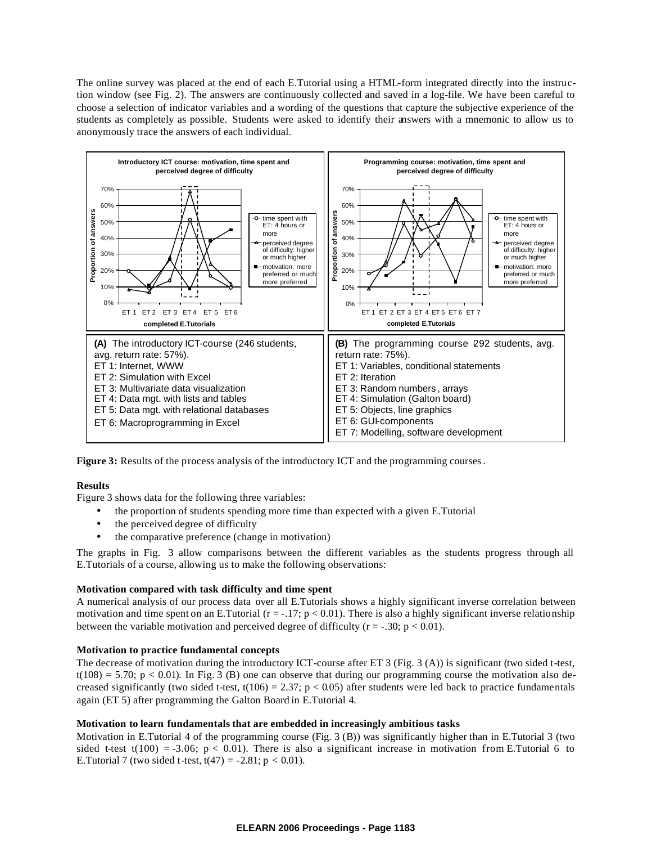The online survey was placed at the end of each E.Tutorial using a HTML-form integrated directly into the instruction window (see Fig. 2). The answers are continuously collected and saved in a log-file. We have been careful to choose a selection of indicator variables and a wording of the questions that capture the subjective experience of the students as completely as possible. Students were asked to identify their answers with a mnemonic to allow us to anonymously trace the answers of each individual.



**Figure 3:** Results of the process analysis of the introductory ICT and the programming courses.

#### **Results**

Figure 3 shows data for the following three variables:

- the proportion of students spending more time than expected with a given E.Tutorial
- the perceived degree of difficulty
- the comparative preference (change in motivation)

The graphs in Fig. 3 allow comparisons between the different variables as the students progress through all E.Tutorials of a course, allowing us to make the following observations:

#### **Motivation compared with task difficulty and time spent**

A numerical analysis of our process data over all E.Tutorials shows a highly significant inverse correlation between motivation and time spent on an E.Tutorial ( $r = -17$ ;  $p < 0.01$ ). There is also a highly significant inverse relationship between the variable motivation and perceived degree of difficulty ( $r = -0.30$ ;  $p < 0.01$ ).

### **Motivation to practice fundamental concepts**

The decrease of motivation during the introductory ICT-course after ET 3 (Fig. 3 (A)) is significant (two sided t-test,  $t(108) = 5.70$ ; p < 0.01). In Fig. 3 (B) one can observe that during our programming course the motivation also decreased significantly (two sided t-test,  $t(106) = 2.37$ ;  $p < 0.05$ ) after students were led back to practice fundamentals again (ET 5) after programming the Galton Board in E.Tutorial 4.

### **Motivation to learn fundamentals that are embedded in increasingly ambitious tasks**

Motivation in E.Tutorial 4 of the programming course (Fig. 3 (B)) was significantly higher than in E.Tutorial 3 (two sided t-test t(100) = -3.06; p < 0.01). There is also a significant increase in motivation from E.Tutorial 6 to E. Tutorial 7 (two sided t-test,  $t(47) = -2.81$ ;  $p < 0.01$ ).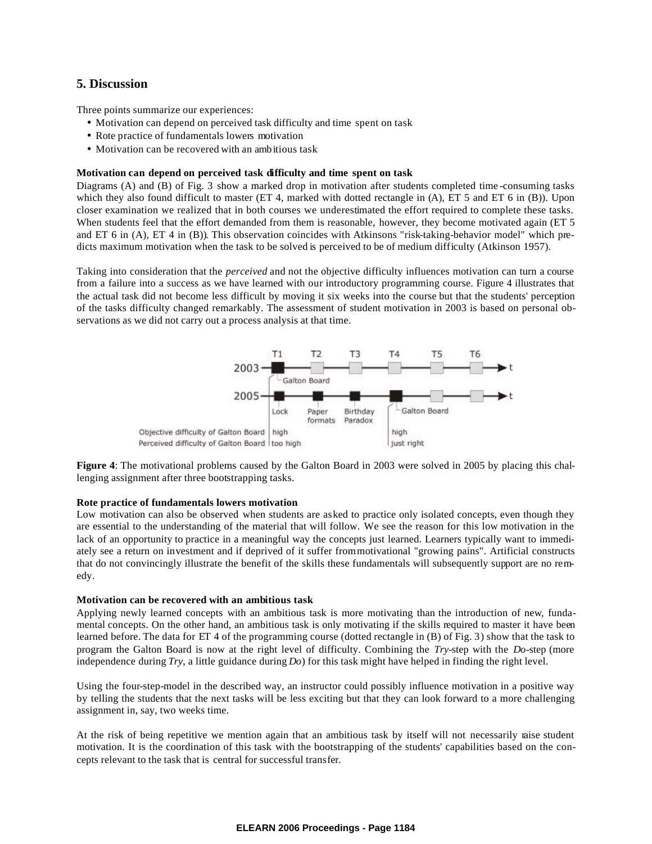# **5. Discussion**

Three points summarize our experiences:

- Motivation can depend on perceived task difficulty and time spent on task
- Rote practice of fundamentals lowers motivation
- Motivation can be recovered with an ambitious task

### **Motivation can depend on perceived task difficulty and time spent on task**

Diagrams (A) and (B) of Fig. 3 show a marked drop in motivation after students completed time -consuming tasks which they also found difficult to master (ET 4, marked with dotted rectangle in (A), ET 5 and ET 6 in (B)). Upon closer examination we realized that in both courses we underestimated the effort required to complete these tasks. When students feel that the effort demanded from them is reasonable, however, they become motivated again (ET 5 and ET 6 in (A), ET 4 in (B)). This observation coincides with Atkinsons "risk-taking-behavior model" which predicts maximum motivation when the task to be solved is perceived to be of medium difficulty (Atkinson 1957).

Taking into consideration that the *perceived* and not the objective difficulty influences motivation can turn a course from a failure into a success as we have learned with our introductory programming course. Figure 4 illustrates that the actual task did not become less difficult by moving it six weeks into the course but that the students' perception of the tasks difficulty changed remarkably. The assessment of student motivation in 2003 is based on personal observations as we did not carry out a process analysis at that time.



**Figure 4**: The motivational problems caused by the Galton Board in 2003 were solved in 2005 by placing this challenging assignment after three bootstrapping tasks.

#### **Rote practice of fundamentals lowers motivation**

Low motivation can also be observed when students are asked to practice only isolated concepts, even though they are essential to the understanding of the material that will follow. We see the reason for this low motivation in the lack of an opportunity to practice in a meaningful way the concepts just learned. Learners typically want to immediately see a return on investment and if deprived of it suffer from motivational "growing pains". Artificial constructs that do not convincingly illustrate the benefit of the skills these fundamentals will subsequently support are no remedy.

#### **Motivation can be recovered with an ambitious task**

Applying newly learned concepts with an ambitious task is more motivating than the introduction of new, fundamental concepts. On the other hand, an ambitious task is only motivating if the skills required to master it have been learned before. The data for ET 4 of the programming course (dotted rectangle in (B) of Fig. 3) show that the task to program the Galton Board is now at the right level of difficulty. Combining the *Try*-step with the *Do*-step (more independence during *Try*, a little guidance during *Do*) for this task might have helped in finding the right level.

Using the four-step-model in the described way, an instructor could possibly influence motivation in a positive way by telling the students that the next tasks will be less exciting but that they can look forward to a more challenging assignment in, say, two weeks time.

At the risk of being repetitive we mention again that an ambitious task by itself will not necessarily raise student motivation. It is the coordination of this task with the bootstrapping of the students' capabilities based on the concepts relevant to the task that is central for successful transfer.